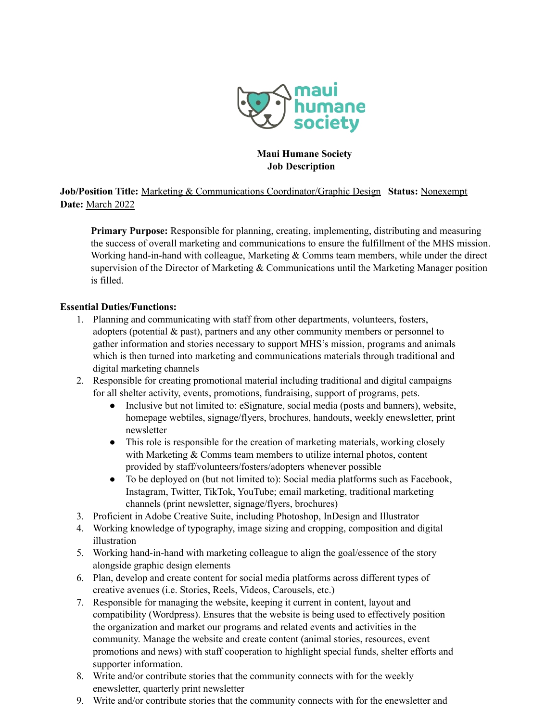

### **Maui Humane Society Job Description**

**Job/Position Title:** Marketing & Communications Coordinator/Graphic Design **Status:** Nonexempt **Date:** March 2022

**Primary Purpose:** Responsible for planning, creating, implementing, distributing and measuring the success of overall marketing and communications to ensure the fulfillment of the MHS mission. Working hand-in-hand with colleague, Marketing & Comms team members, while under the direct supervision of the Director of Marketing & Communications until the Marketing Manager position is filled.

#### **Essential Duties/Functions:**

- 1. Planning and communicating with staff from other departments, volunteers, fosters, adopters (potential  $\&$  past), partners and any other community members or personnel to gather information and stories necessary to support MHS's mission, programs and animals which is then turned into marketing and communications materials through traditional and digital marketing channels
- 2. Responsible for creating promotional material including traditional and digital campaigns for all shelter activity, events, promotions, fundraising, support of programs, pets.
	- Inclusive but not limited to: eSignature, social media (posts and banners), website, homepage webtiles, signage/flyers, brochures, handouts, weekly enewsletter, print newsletter
	- This role is responsible for the creation of marketing materials, working closely with Marketing & Comms team members to utilize internal photos, content provided by staff/volunteers/fosters/adopters whenever possible
	- To be deployed on (but not limited to): Social media platforms such as Facebook, Instagram, Twitter, TikTok, YouTube; email marketing, traditional marketing channels (print newsletter, signage/flyers, brochures)
- 3. Proficient in Adobe Creative Suite, including Photoshop, InDesign and Illustrator
- 4. Working knowledge of typography, image sizing and cropping, composition and digital illustration
- 5. Working hand-in-hand with marketing colleague to align the goal/essence of the story alongside graphic design elements
- 6. Plan, develop and create content for social media platforms across different types of creative avenues (i.e. Stories, Reels, Videos, Carousels, etc.)
- 7. Responsible for managing the website, keeping it current in content, layout and compatibility (Wordpress). Ensures that the website is being used to effectively position the organization and market our programs and related events and activities in the community. Manage the website and create content (animal stories, resources, event promotions and news) with staff cooperation to highlight special funds, shelter efforts and supporter information.
- 8. Write and/or contribute stories that the community connects with for the weekly enewsletter, quarterly print newsletter
- 9. Write and/or contribute stories that the community connects with for the enewsletter and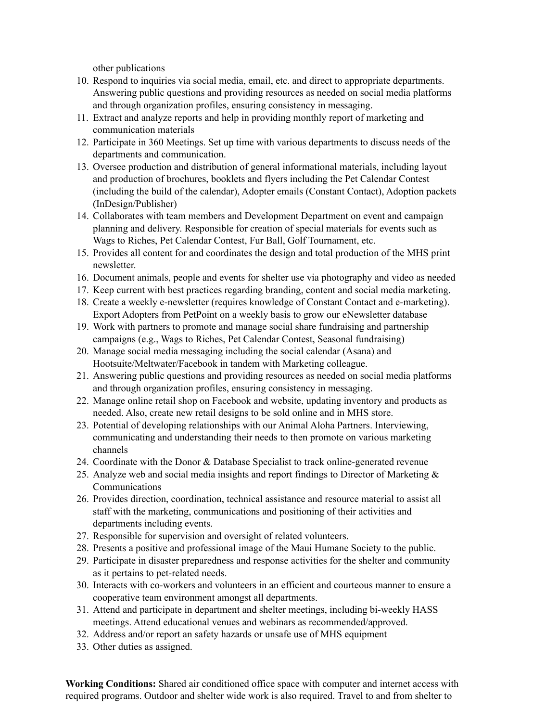other publications

- 10. Respond to inquiries via social media, email, etc. and direct to appropriate departments. Answering public questions and providing resources as needed on social media platforms and through organization profiles, ensuring consistency in messaging.
- 11. Extract and analyze reports and help in providing monthly report of marketing and communication materials
- 12. Participate in 360 Meetings. Set up time with various departments to discuss needs of the departments and communication.
- 13. Oversee production and distribution of general informational materials, including layout and production of brochures, booklets and flyers including the Pet Calendar Contest (including the build of the calendar), Adopter emails (Constant Contact), Adoption packets (InDesign/Publisher)
- 14. Collaborates with team members and Development Department on event and campaign planning and delivery. Responsible for creation of special materials for events such as Wags to Riches, Pet Calendar Contest, Fur Ball, Golf Tournament, etc.
- 15. Provides all content for and coordinates the design and total production of the MHS print newsletter.
- 16. Document animals, people and events for shelter use via photography and video as needed
- 17. Keep current with best practices regarding branding, content and social media marketing.
- 18. Create a weekly e-newsletter (requires knowledge of Constant Contact and e-marketing). Export Adopters from PetPoint on a weekly basis to grow our eNewsletter database
- 19. Work with partners to promote and manage social share fundraising and partnership campaigns (e.g., Wags to Riches, Pet Calendar Contest, Seasonal fundraising)
- 20. Manage social media messaging including the social calendar (Asana) and Hootsuite/Meltwater/Facebook in tandem with Marketing colleague.
- 21. Answering public questions and providing resources as needed on social media platforms and through organization profiles, ensuring consistency in messaging.
- 22. Manage online retail shop on Facebook and website, updating inventory and products as needed. Also, create new retail designs to be sold online and in MHS store.
- 23. Potential of developing relationships with our Animal Aloha Partners. Interviewing, communicating and understanding their needs to then promote on various marketing channels
- 24. Coordinate with the Donor & Database Specialist to track online-generated revenue
- 25. Analyze web and social media insights and report findings to Director of Marketing  $\&$ Communications
- 26. Provides direction, coordination, technical assistance and resource material to assist all staff with the marketing, communications and positioning of their activities and departments including events.
- 27. Responsible for supervision and oversight of related volunteers.
- 28. Presents a positive and professional image of the Maui Humane Society to the public.
- 29. Participate in disaster preparedness and response activities for the shelter and community as it pertains to pet-related needs.
- 30. Interacts with co-workers and volunteers in an efficient and courteous manner to ensure a cooperative team environment amongst all departments.
- 31. Attend and participate in department and shelter meetings, including bi-weekly HASS meetings. Attend educational venues and webinars as recommended/approved.
- 32. Address and/or report an safety hazards or unsafe use of MHS equipment
- 33. Other duties as assigned.

**Working Conditions:** Shared air conditioned office space with computer and internet access with required programs. Outdoor and shelter wide work is also required. Travel to and from shelter to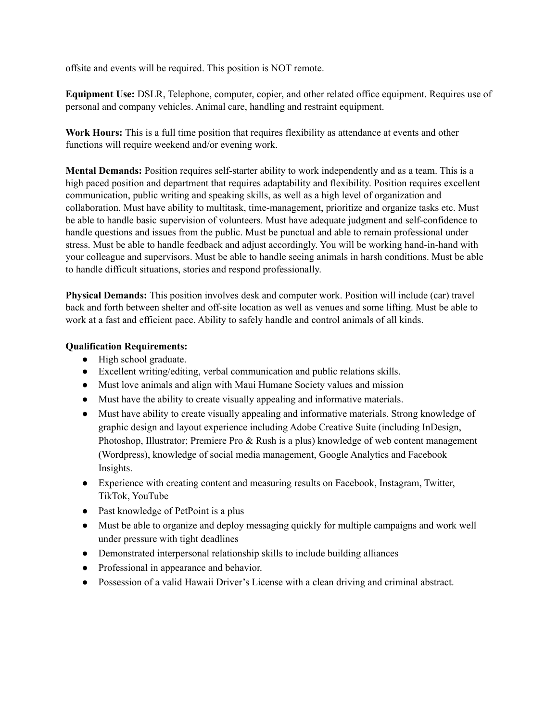offsite and events will be required. This position is NOT remote.

**Equipment Use:** DSLR, Telephone, computer, copier, and other related office equipment. Requires use of personal and company vehicles. Animal care, handling and restraint equipment.

**Work Hours:** This is a full time position that requires flexibility as attendance at events and other functions will require weekend and/or evening work.

**Mental Demands:** Position requires self-starter ability to work independently and as a team. This is a high paced position and department that requires adaptability and flexibility. Position requires excellent communication, public writing and speaking skills, as well as a high level of organization and collaboration. Must have ability to multitask, time-management, prioritize and organize tasks etc. Must be able to handle basic supervision of volunteers. Must have adequate judgment and self-confidence to handle questions and issues from the public. Must be punctual and able to remain professional under stress. Must be able to handle feedback and adjust accordingly. You will be working hand-in-hand with your colleague and supervisors. Must be able to handle seeing animals in harsh conditions. Must be able to handle difficult situations, stories and respond professionally.

**Physical Demands:** This position involves desk and computer work. Position will include (car) travel back and forth between shelter and off-site location as well as venues and some lifting. Must be able to work at a fast and efficient pace. Ability to safely handle and control animals of all kinds.

#### **Qualification Requirements:**

- High school graduate.
- Excellent writing/editing, verbal communication and public relations skills.
- Must love animals and align with Maui Humane Society values and mission
- Must have the ability to create visually appealing and informative materials.
- Must have ability to create visually appealing and informative materials. Strong knowledge of graphic design and layout experience including Adobe Creative Suite (including InDesign, Photoshop, Illustrator; Premiere Pro & Rush is a plus) knowledge of web content management (Wordpress), knowledge of social media management, Google Analytics and Facebook Insights.
- Experience with creating content and measuring results on Facebook, Instagram, Twitter, TikTok, YouTube
- Past knowledge of PetPoint is a plus
- Must be able to organize and deploy messaging quickly for multiple campaigns and work well under pressure with tight deadlines
- Demonstrated interpersonal relationship skills to include building alliances
- Professional in appearance and behavior.
- Possession of a valid Hawaii Driver's License with a clean driving and criminal abstract.